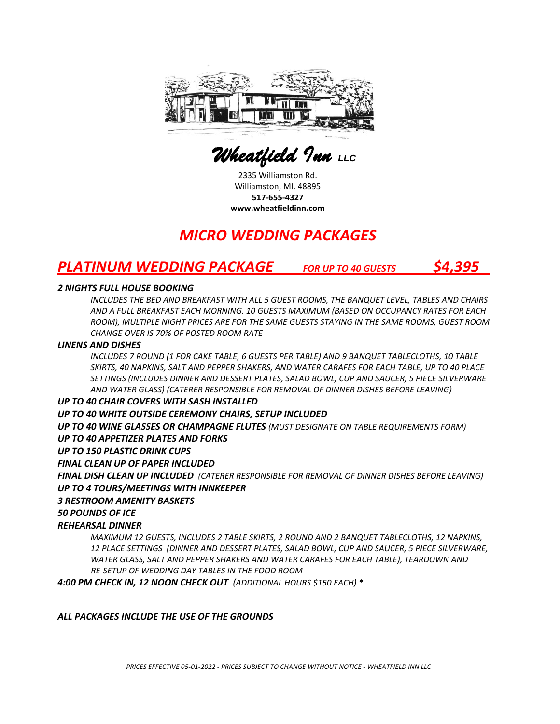

 *Wheatfield Inn LLC* 

2335 Williamston Rd. Williamston, MI. 48895 **517-655-4327 www.wheatfieldinn.com**

# *MICRO WEDDING PACKAGES*

# *PLATINUM WEDDING PACKAGE FOR UP TO 40 GUESTS \$4,395*

### *2 NIGHTS FULL HOUSE BOOKING*

*INCLUDES THE BED AND BREAKFAST WITH ALL 5 GUEST ROOMS, THE BANQUET LEVEL, TABLES AND CHAIRS AND A FULL BREAKFAST EACH MORNING. 10 GUESTS MAXIMUM (BASED ON OCCUPANCY RATES FOR EACH ROOM), MULTIPLE NIGHT PRICES ARE FOR THE SAME GUESTS STAYING IN THE SAME ROOMS, GUEST ROOM CHANGE OVER IS 70% OF POSTED ROOM RATE* 

#### *LINENS AND DISHES*

*INCLUDES 7 ROUND (1 FOR CAKE TABLE, 6 GUESTS PER TABLE) AND 9 BANQUET TABLECLOTHS, 10 TABLE SKIRTS, 40 NAPKINS, SALT AND PEPPER SHAKERS, AND WATER CARAFES FOR EACH TABLE, UP TO 40 PLACE SETTINGS (INCLUDES DINNER AND DESSERT PLATES, SALAD BOWL, CUP AND SAUCER, 5 PIECE SILVERWARE AND WATER GLASS) (CATERER RESPONSIBLE FOR REMOVAL OF DINNER DISHES BEFORE LEAVING)*

#### *UP TO 40 CHAIR COVERS WITH SASH INSTALLED*

*UP TO 40 WHITE OUTSIDE CEREMONY CHAIRS, SETUP INCLUDED*

*UP TO 40 WINE GLASSES OR CHAMPAGNE FLUTES (MUST DESIGNATE ON TABLE REQUIREMENTS FORM)*

#### *UP TO 40 APPETIZER PLATES AND FORKS*

*UP TO 150 PLASTIC DRINK CUPS*

#### *FINAL CLEAN UP OF PAPER INCLUDED*

*FINAL DISH CLEAN UP INCLUDED (CATERER RESPONSIBLE FOR REMOVAL OF DINNER DISHES BEFORE LEAVING) UP TO 4 TOURS/MEETINGS WITH INNKEEPER*

#### *3 RESTROOM AMENITY BASKETS*

## *50 POUNDS OF ICE*

## *REHEARSAL DINNER*

*MAXIMUM 12 GUESTS, INCLUDES 2 TABLE SKIRTS, 2 ROUND AND 2 BANQUET TABLECLOTHS, 12 NAPKINS, 12 PLACE SETTINGS (DINNER AND DESSERT PLATES, SALAD BOWL, CUP AND SAUCER, 5 PIECE SILVERWARE, WATER GLASS, SALT AND PEPPER SHAKERS AND WATER CARAFES FOR EACH TABLE), TEARDOWN AND RE-SETUP OF WEDDING DAY TABLES IN THE FOOD ROOM*

*4:00 PM CHECK IN, 12 NOON CHECK OUT (ADDITIONAL HOURS \$150 EACH) \**

#### *ALL PACKAGES INCLUDE THE USE OF THE GROUNDS*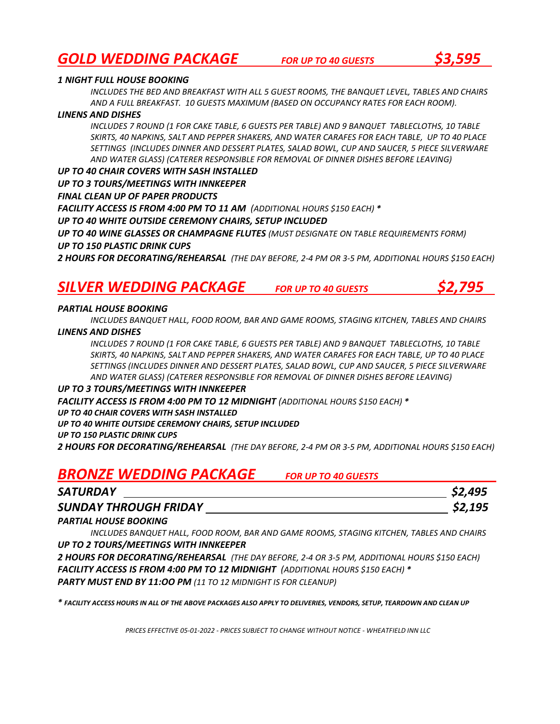## *GOLD WEDDING PACKAGE FOR UP TO 40 GUESTS \$3,595*

#### *1 NIGHT FULL HOUSE BOOKING*

*INCLUDES THE BED AND BREAKFAST WITH ALL 5 GUEST ROOMS, THE BANQUET LEVEL, TABLES AND CHAIRS AND A FULL BREAKFAST. 10 GUESTS MAXIMUM (BASED ON OCCUPANCY RATES FOR EACH ROOM).*

#### *LINENS AND DISHES*

*INCLUDES 7 ROUND (1 FOR CAKE TABLE, 6 GUESTS PER TABLE) AND 9 BANQUET TABLECLOTHS, 10 TABLE SKIRTS, 40 NAPKINS, SALT AND PEPPER SHAKERS, AND WATER CARAFES FOR EACH TABLE, UP TO 40 PLACE SETTINGS (INCLUDES DINNER AND DESSERT PLATES, SALAD BOWL, CUP AND SAUCER, 5 PIECE SILVERWARE AND WATER GLASS) (CATERER RESPONSIBLE FOR REMOVAL OF DINNER DISHES BEFORE LEAVING)*

#### *UP TO 40 CHAIR COVERS WITH SASH INSTALLED*

*UP TO 3 TOURS/MEETINGS WITH INNKEEPER*

*FINAL CLEAN UP OF PAPER PRODUCTS*

*FACILITY ACCESS IS FROM 4:00 PM TO 11 AM (ADDITIONAL HOURS \$150 EACH) \**

*UP TO 40 WHITE OUTSIDE CEREMONY CHAIRS, SETUP INCLUDED*

*UP TO 40 WINE GLASSES OR CHAMPAGNE FLUTES (MUST DESIGNATE ON TABLE REQUIREMENTS FORM) UP TO 150 PLASTIC DRINK CUPS* 

*2 HOURS FOR DECORATING/REHEARSAL (THE DAY BEFORE, 2-4 PM OR 3-5 PM, ADDITIONAL HOURS \$150 EACH)*

## *SILVER WEDDING PACKAGE FOR UP TO 40 GUESTS \$2,795*

#### *PARTIAL HOUSE BOOKING*

*INCLUDES BANQUET HALL, FOOD ROOM, BAR AND GAME ROOMS, STAGING KITCHEN, TABLES AND CHAIRS LINENS AND DISHES*

*INCLUDES 7 ROUND (1 FOR CAKE TABLE, 6 GUESTS PER TABLE) AND 9 BANQUET TABLECLOTHS, 10 TABLE SKIRTS, 40 NAPKINS, SALT AND PEPPER SHAKERS, AND WATER CARAFES FOR EACH TABLE, UP TO 40 PLACE SETTINGS (INCLUDES DINNER AND DESSERT PLATES, SALAD BOWL, CUP AND SAUCER, 5 PIECE SILVERWARE AND WATER GLASS) (CATERER RESPONSIBLE FOR REMOVAL OF DINNER DISHES BEFORE LEAVING)*

#### *UP TO 3 TOURS/MEETINGS WITH INNKEEPER*

*FACILITY ACCESS IS FROM 4:00 PM TO 12 MIDNIGHT (ADDITIONAL HOURS \$150 EACH) \**

#### *UP TO 40 CHAIR COVERS WITH SASH INSTALLED*

*UP TO 40 WHITE OUTSIDE CEREMONY CHAIRS, SETUP INCLUDED*

#### *UP TO 150 PLASTIC DRINK CUPS*

*2 HOURS FOR DECORATING/REHEARSAL (THE DAY BEFORE, 2-4 PM OR 3-5 PM, ADDITIONAL HOURS \$150 EACH)*

## *BRONZE WEDDING PACKAGE FOR UP TO 40 GUESTS*

| <b>SATURDAY</b>              | \$2,495 |
|------------------------------|---------|
| <b>SUNDAY THROUGH FRIDAY</b> | \$2,195 |

#### *PARTIAL HOUSE BOOKING*

*INCLUDES BANQUET HALL, FOOD ROOM, BAR AND GAME ROOMS, STAGING KITCHEN, TABLES AND CHAIRS UP TO 2 TOURS/MEETINGS WITH INNKEEPER*

*2 HOURS FOR DECORATING/REHEARSAL (THE DAY BEFORE, 2-4 OR 3-5 PM, ADDITIONAL HOURS \$150 EACH) FACILITY ACCESS IS FROM 4:00 PM TO 12 MIDNIGHT (ADDITIONAL HOURS \$150 EACH) \* PARTY MUST END BY 11:OO PM (11 TO 12 MIDNIGHT IS FOR CLEANUP)*

*\* FACILITY ACCESS HOURS IN ALL OF THE ABOVE PACKAGES ALSO APPLY TO DELIVERIES, VENDORS, SETUP, TEARDOWN AND CLEAN UP*

*PRICES EFFECTIVE 05-01-2022 - PRICES SUBJECT TO CHANGE WITHOUT NOTICE - WHEATFIELD INN LLC*